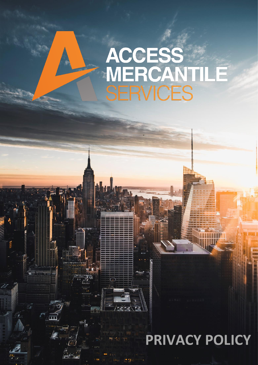# ACCESS<br>MERCAN<br>SERVICES E

### 130 E **PRIVACY POLICY**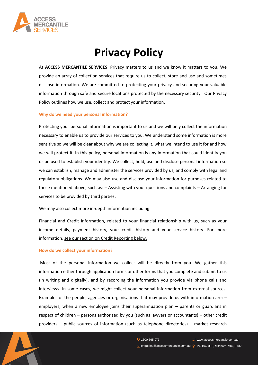

## **Privacy Policy**

At **ACCESS MERCANTILE SERVICES**, Privacy matters to us and we know it matters to you. We provide an array of collection services that require us to collect, store and use and sometimes disclose information. We are committed to protecting your privacy and securing your valuable information through safe and secure locations protected by the necessary security. Our Privacy Policy outlines how we use, collect and protect your information.

#### **Why do we need your personal information?**

Protecting your personal information is important to us and we will only collect the information necessary to enable us to provide our services to you. We understand some information is more sensitive so we will be clear about why we are collecting it, what we intend to use it for and how we will protect it. In this policy, personal information is any information that could identify you or be used to establish your identity. We collect, hold, use and disclose personal information so we can establish, manage and administer the services provided by us, and comply with legal and regulatory obligations. We may also use and disclose your information for purposes related to those mentioned above, such as: – Assisting with your questions and complaints – Arranging for services to be provided by third parties.

We may also collect more in-depth information including:

Financial and Credit Information**,** related to your financial relationship with us, such as your income details, payment history, your credit history and your service history. For more information, see our section on Credit Reporting below.

#### **How do we collect your information?**

Most of the personal information we collect will be directly from you. We gather this information either through application forms or other forms that you complete and submit to us (in writing and digitally), and by recording the information you provide via phone calls and interviews. In some cases, we might collect your personal information from external sources. Examples of the people, agencies or organisations that may provide us with information are: – employers, when a new employee joins their superannuation plan – parents or guardians in respect of children – persons authorised by you (such as lawyers or accountants) – other credit providers – public sources of information (such as telephone directories) – market research

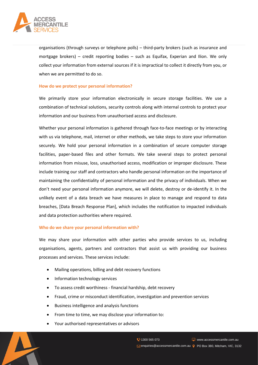

organisations (through surveys or telephone polls) – third-party brokers (such as insurance and mortgage brokers) – credit reporting bodies – such as Equifax, Experian and Ilion. We only collect your information from external sources if it is impractical to collect it directly from you, or when we are permitted to do so.

#### **How do we protect your personal information?**

We primarily store your information electronically in secure storage facilities. We use a combination of technical solutions, security controls along with internal controls to protect your information and our business from unauthorised access and disclosure.

Whether your personal information is gathered through face-to-face meetings or by interacting with us via telephone, mail, internet or other methods, we take steps to store your information securely. We hold your personal information in a combination of secure computer storage facilities, paper-based files and other formats. We take several steps to protect personal information from misuse, loss, unauthorised access, modification or improper disclosure. These include training our staff and contractors who handle personal information on the importance of maintaining the confidentiality of personal information and the privacy of individuals. When we don't need your personal information anymore, we will delete, destroy or de-identify it. In the unlikely event of a data breach we have measures in place to manage and respond to data breaches, [Data Breach Response Plan], which includes the notification to impacted individuals and data protection authorities where required.

#### **Who do we share your personal information with?**

We may share your information with other parties who provide services to us, including organisations, agents, partners and contractors that assist us with providing our business processes and services. These services include:

- Mailing operations, billing and debt recovery functions
- Information technology services
- To assess credit worthiness financial hardship, debt recovery
- Fraud, crime or misconduct identification, investigation and prevention services
- Business intelligence and analysis functions
- From time to time, we may disclose your information to:
- Your authorised representatives or advisors

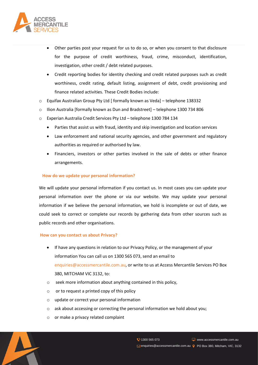

- Other parties post your request for us to do so, or when you consent to that disclosure for the purpose of credit worthiness, fraud, crime, misconduct, identification, investigation, other credit / debt related purposes.
- Credit reporting bodies for identity checking and credit related purposes such as credit worthiness, credit rating, default listing, assignment of debt, credit provisioning and finance related activities. These Credit Bodies include:
- o Equifax Australian Group Pty Ltd [ formally known as Veda] telephone 138332
- o Ilion Australia [formally known as Dun and Bradstreet] telephone 1300 734 806
- o Experian Australia Credit Services Pty Ltd telephone 1300 784 134
	- Parties that assist us with fraud, identity and skip investigation and location services
	- Law enforcement and national security agencies, and other government and regulatory authorities as required or authorised by law.
	- Financiers, investors or other parties involved in the sale of debts or other finance arrangements.

#### **How do we update your personal information?**

We will update your personal information if you contact us. In most cases you can update your personal information over the phone or via our website. We may update your personal information if we believe the personal information, we hold is incomplete or out of date, we could seek to correct or complete our records by gathering data from other sources such as public records and other organisations.

#### **How can you contact us about Privacy?**

- If have any questions in relation to our Privacy Policy, or the management of your information You can call us on 1300 565 073, send an email to enquiries@accessmercantile.com.au, or write to us at Access Mercantile Services PO Box 380, MITCHAM VIC 3132, to:
- o seek more information about anything contained in this policy,
- o or to request a printed copy of this policy
- o update or correct your personal information
- o ask about accessing or correcting the personal information we hold about you;
- o or make a privacy related complaint

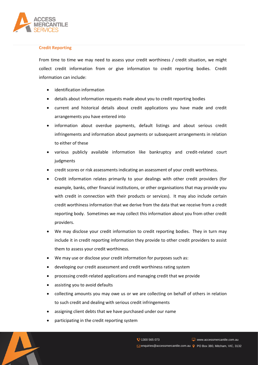

#### **Credit Reporting**

From time to time we may need to assess your credit worthiness / credit situation, we might collect credit information from or give information to credit reporting bodies. Credit information can include:

- identification information
- details about information requests made about you to credit reporting bodies
- current and historical details about credit applications you have made and credit arrangements you have entered into
- information about overdue payments, default listings and about serious credit infringements and information about payments or subsequent arrangements in relation to either of these
- various publicly available information like bankruptcy and credit-related court judgments
- credit scores or risk assessments indicating an assessment of your credit worthiness.
- Credit information relates primarily to your dealings with other credit providers (for example, banks, other financial institutions, or other organisations that may provide you with credit in connection with their products or services). It may also include certain credit worthiness information that we derive from the data that we receive from a credit reporting body. Sometimes we may collect this information about you from other credit providers.
- We may disclose your credit information to credit reporting bodies. They in turn may include it in credit reporting information they provide to other credit providers to assist them to assess your credit worthiness.
- We may use or disclose your credit information for purposes such as:
- developing our credit assessment and credit worthiness rating system
- processing credit-related applications and managing credit that we provide
- assisting you to avoid defaults
- collecting amounts you may owe us or we are collecting on behalf of others in relation to such credit and dealing with serious credit infringements
- assigning client debts that we have purchased under our name
- participating in the credit reporting system